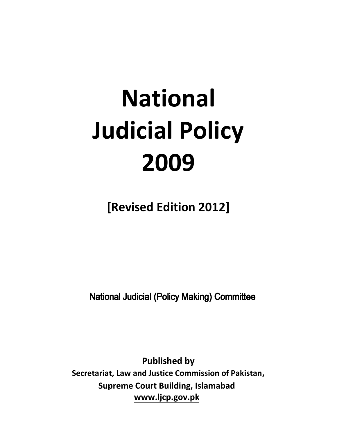# **National Judicial Policy 2009**

**[Revised Edition 2012]**

**National Judicial (Policy Making) Committee** 

**Published by Secretariat, Law and Justice Commission of Pakistan, Supreme Court Building, Islamabad www.ljcp.gov.pk**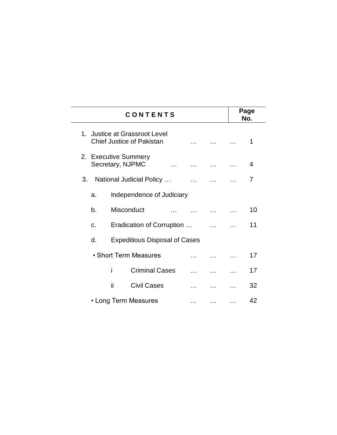| <b>CONTENTS</b> |                                                                                   |                                                                   |             |                                                                         |          | Page<br>No. |
|-----------------|-----------------------------------------------------------------------------------|-------------------------------------------------------------------|-------------|-------------------------------------------------------------------------|----------|-------------|
|                 |                                                                                   | 1. Justice at Grassroot Level<br><b>Chief Justice of Pakistan</b> |             | $\mathbf{r}$ and $\mathbf{r}$ are associated to the set of $\mathbf{r}$ |          | 1           |
|                 | 2. Executive Summery<br>Secretary, NJPMC<br>المتعادل المتعادل المتعادل المتعادلات |                                                                   |             |                                                                         |          | 4           |
| 3.              | National Judicial Policy                                                          |                                                                   |             |                                                                         |          | 7           |
| a.              |                                                                                   | Independence of Judiciary                                         |             |                                                                         |          |             |
| b.              |                                                                                   | Misconduct                                                        |             |                                                                         |          | 10          |
| C <sub>1</sub>  |                                                                                   | Eradication of Corruption                                         |             |                                                                         |          | 11          |
| d.              | <b>Expeditious Disposal of Cases</b>                                              |                                                                   |             |                                                                         |          |             |
|                 | • Short Term Measures                                                             |                                                                   |             |                                                                         |          | 17          |
|                 | i                                                                                 | <b>Criminal Cases</b>                                             |             |                                                                         |          | 17          |
|                 | ii                                                                                | <b>Civil Cases</b>                                                | a a control | $\ddotsc$                                                               |          | 32          |
|                 | • Long Term Measures<br>$\cdots$                                                  |                                                                   |             | $\cdots$                                                                | $\cdots$ | 42          |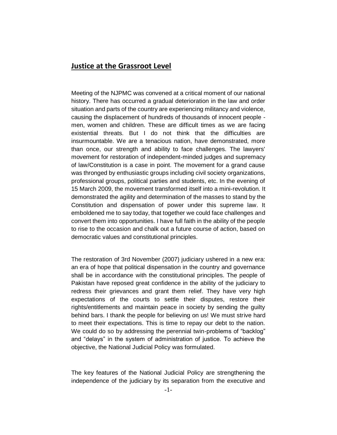### **Justice at the Grassroot Level**

Meeting of the NJPMC was convened at a critical moment of our national history. There has occurred a gradual deterioration in the law and order situation and parts of the country are experiencing militancy and violence, causing the displacement of hundreds of thousands of innocent people men, women and children. These are difficult times as we are facing existential threats. But I do not think that the difficulties are insurmountable. We are a tenacious nation, have demonstrated, more than once, our strength and ability to face challenges. The lawyers' movement for restoration of independent-minded judges and supremacy of law/Constitution is a case in point. The movement for a grand cause was thronged by enthusiastic groups including civil society organizations, professional groups, political parties and students, etc. In the evening of 15 March 2009, the movement transformed itself into a mini-revolution. It demonstrated the agility and determination of the masses to stand by the Constitution and dispensation of power under this supreme law. It emboldened me to say today, that together we could face challenges and convert them into opportunities. I have full faith in the ability of the people to rise to the occasion and chalk out a future course of action, based on democratic values and constitutional principles.

The restoration of 3rd November (2007) judiciary ushered in a new era: an era of hope that political dispensation in the country and governance shall be in accordance with the constitutional principles. The people of Pakistan have reposed great confidence in the ability of the judiciary to redress their grievances and grant them relief. They have very high expectations of the courts to settle their disputes, restore their rights/entitlements and maintain peace in society by sending the guilty behind bars. I thank the people for believing on us! We must strive hard to meet their expectations. This is time to repay our debt to the nation. We could do so by addressing the perennial twin-problems of "backlog" and "delays" in the system of administration of justice. To achieve the objective, the National Judicial Policy was formulated.

The key features of the National Judicial Policy are strengthening the independence of the judiciary by its separation from the executive and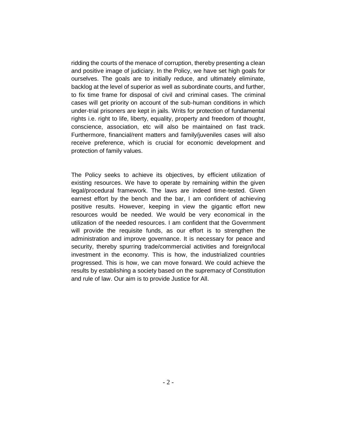ridding the courts of the menace of corruption, thereby presenting a clean and positive image of judiciary. In the Policy, we have set high goals for ourselves. The goals are to initially reduce, and ultimately eliminate, backlog at the level of superior as well as subordinate courts, and further, to fix time frame for disposal of civil and criminal cases. The criminal cases will get priority on account of the sub-human conditions in which under-trial prisoners are kept in jails. Writs for protection of fundamental rights i.e. right to life, liberty, equality, property and freedom of thought, conscience, association, etc will also be maintained on fast track. Furthermore, financial/rent matters and family/juveniles cases will also receive preference, which is crucial for economic development and protection of family values.

The Policy seeks to achieve its objectives, by efficient utilization of existing resources. We have to operate by remaining within the given legal/procedural framework. The laws are indeed time-tested. Given earnest effort by the bench and the bar, I am confident of achieving positive results. However, keeping in view the gigantic effort new resources would be needed. We would be very economical in the utilization of the needed resources. I am confident that the Government will provide the requisite funds, as our effort is to strengthen the administration and improve governance. It is necessary for peace and security, thereby spurring trade/commercial activities and foreign/local investment in the economy. This is how, the industrialized countries progressed. This is how, we can move forward. We could achieve the results by establishing a society based on the supremacy of Constitution and rule of law. Our aim is to provide Justice for All.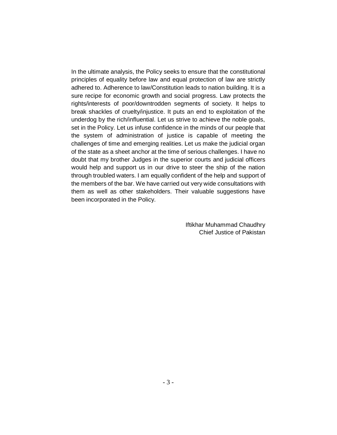In the ultimate analysis, the Policy seeks to ensure that the constitutional principles of equality before law and equal protection of law are strictly adhered to. Adherence to law/Constitution leads to nation building. It is a sure recipe for economic growth and social progress. Law protects the rights/interests of poor/downtrodden segments of society. It helps to break shackles of cruelty/injustice. It puts an end to exploitation of the underdog by the rich/influential. Let us strive to achieve the noble goals, set in the Policy. Let us infuse confidence in the minds of our people that the system of administration of justice is capable of meeting the challenges of time and emerging realities. Let us make the judicial organ of the state as a sheet anchor at the time of serious challenges. I have no doubt that my brother Judges in the superior courts and judicial officers would help and support us in our drive to steer the ship of the nation through troubled waters. I am equally confident of the help and support of the members of the bar. We have carried out very wide consultations with them as well as other stakeholders. Their valuable suggestions have been incorporated in the Policy.

> Iftikhar Muhammad Chaudhry Chief Justice of Pakistan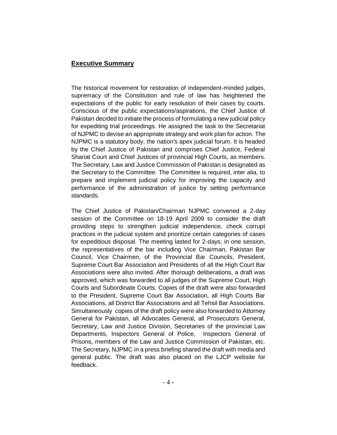#### **Executive Summary**

The historical movement for restoration of independent-minded judges, supremacy of the Constitution and rule of law has heightened the expectations of the public for early resolution of their cases by courts. Conscious of the public expectations/aspirations, the Chief Justice of Pakistan decided to initiate the process of formulating a new judicial policy for expediting trial proceedings. He assigned the task to the Secretariat of NJPMC to devise an appropriate strategy and work plan for action. The NJPMC is a statutory body, the nation's apex judicial forum. It is headed by the Chief Justice of Pakistan and comprises Chief Justice, Federal Shariat Court and Chief Justices of provincial High Courts, as members. The Secretary, Law and Justice Commission of Pakistan is designated as the Secretary to the Committee. The Committee is required, inter alia, to prepare and implement judicial policy for improving the capacity and performance of the administration of justice by setting performance standards.

The Chief Justice of Pakistan/Chairman NJPMC convened a 2-day session of the Committee on 18-19 April 2009 to consider the draft providing steps to strengthen judicial independence, check corrupt practices in the judicial system and prioritize certain categories of cases for expeditious disposal. The meeting lasted for 2-days; in one session, the representatives of the bar including Vice Chairman, Pakistan Bar Council, Vice Chairmen, of the Provincial Bar Councils, President, Supreme Court Bar Association and Presidents of all the High Court Bar Associations were also invited. After thorough deliberations, a draft was approved, which was forwarded to all judges of the Supreme Court, High Courts and Subordinate Courts. Copies of the draft were also forwarded to the President, Supreme Court Bar Association, all High Courts Bar Associations, all District Bar Associations and all Tehsil Bar Associations. Simultaneously copies of the draft policy were also forwarded to Attorney General for Pakistan, all Advocates General, all Prosecutors General, Secretary, Law and Justice Division, Secretaries of the provincial Law Departments, Inspectors General of Police, Inspectors General of Prisons, members of the Law and Justice Commission of Pakistan, etc. The Secretary, NJPMC in a press briefing shared the draft with media and general public. The draft was also placed on the LJCP website for feedback.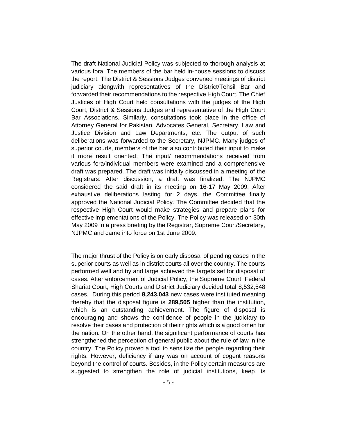The draft National Judicial Policy was subjected to thorough analysis at various fora. The members of the bar held in-house sessions to discuss the report. The District & Sessions Judges convened meetings of district judiciary alongwith representatives of the District/Tehsil Bar and forwarded their recommendations to the respective High Court. The Chief Justices of High Court held consultations with the judges of the High Court, District & Sessions Judges and representative of the High Court Bar Associations. Similarly, consultations took place in the office of Attorney General for Pakistan, Advocates General, Secretary, Law and Justice Division and Law Departments, etc. The output of such deliberations was forwarded to the Secretary, NJPMC. Many judges of superior courts, members of the bar also contributed their input to make it more result oriented. The input/ recommendations received from various fora/individual members were examined and a comprehensive draft was prepared. The draft was initially discussed in a meeting of the Registrars. After discussion, a draft was finalized. The NJPMC considered the said draft in its meeting on 16-17 May 2009. After exhaustive deliberations lasting for 2 days, the Committee finally approved the National Judicial Policy. The Committee decided that the respective High Court would make strategies and prepare plans for effective implementations of the Policy. The Policy was released on 30th May 2009 in a press briefing by the Registrar, Supreme Court/Secretary, NJPMC and came into force on 1st June 2009.

The major thrust of the Policy is on early disposal of pending cases in the superior courts as well as in district courts all over the country. The courts performed well and by and large achieved the targets set for disposal of cases. After enforcement of Judicial Policy, the Supreme Court, Federal Shariat Court, High Courts and District Judiciary decided total 8,532,548 cases. During this period **8,243,043** new cases were instituted meaning thereby that the disposal figure is **289,505** higher than the institution, which is an outstanding achievement. The figure of disposal is encouraging and shows the confidence of people in the judiciary to resolve their cases and protection of their rights which is a good omen for the nation. On the other hand, the significant performance of courts has strengthened the perception of general public about the rule of law in the country. The Policy proved a tool to sensitize the people regarding their rights. However, deficiency if any was on account of cogent reasons beyond the control of courts. Besides, in the Policy certain measures are suggested to strengthen the role of judicial institutions, keep its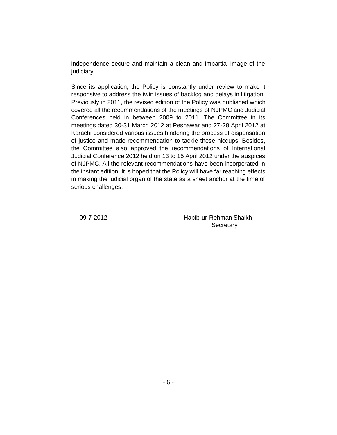independence secure and maintain a clean and impartial image of the judiciary.

Since its application, the Policy is constantly under review to make it responsive to address the twin issues of backlog and delays in litigation. Previously in 2011, the revised edition of the Policy was published which covered all the recommendations of the meetings of NJPMC and Judicial Conferences held in between 2009 to 2011. The Committee in its meetings dated 30-31 March 2012 at Peshawar and 27-28 April 2012 at Karachi considered various issues hindering the process of dispensation of justice and made recommendation to tackle these hiccups. Besides, the Committee also approved the recommendations of International Judicial Conference 2012 held on 13 to 15 April 2012 under the auspices of NJPMC. All the relevant recommendations have been incorporated in the instant edition. It is hoped that the Policy will have far reaching effects in making the judicial organ of the state as a sheet anchor at the time of serious challenges.

 09-7-2012 Habib-ur-Rehman Shaikh **Secretary**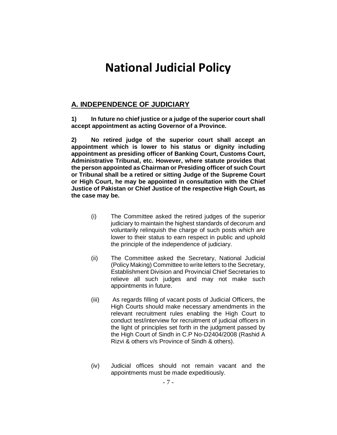# **National Judicial Policy**

# **A. INDEPENDENCE OF JUDICIARY**

**1) In future no chief justice or a judge of the superior court shall accept appointment as acting Governor of a Province.**

**2) No retired judge of the superior court shall accept an appointment which is lower to his status or dignity including appointment as presiding officer of Banking Court, Customs Court, Administrative Tribunal, etc. However, where statute provides that the person appointed as Chairman or Presiding officer of such Court or Tribunal shall be a retired or sitting Judge of the Supreme Court or High Court, he may be appointed in consultation with the Chief Justice of Pakistan or Chief Justice of the respective High Court, as the case may be.**

- (i) The Committee asked the retired judges of the superior judiciary to maintain the highest standards of decorum and voluntarily relinquish the charge of such posts which are lower to their status to earn respect in public and uphold the principle of the independence of judiciary.
- (ii) The Committee asked the Secretary, National Judicial (Policy Making) Committee to write letters to the Secretary, Establishment Division and Provincial Chief Secretaries to relieve all such judges and may not make such appointments in future.
- (iii) As regards filling of vacant posts of Judicial Officers, the High Courts should make necessary amendments in the relevant recruitment rules enabling the High Court to conduct test/interview for recruitment of judicial officers in the light of principles set forth in the judgment passed by the High Court of Sindh in C.P No-D2404/2008 (Rashid A Rizvi & others v/s Province of Sindh & others).
- (iv) Judicial offices should not remain vacant and the appointments must be made expeditiously.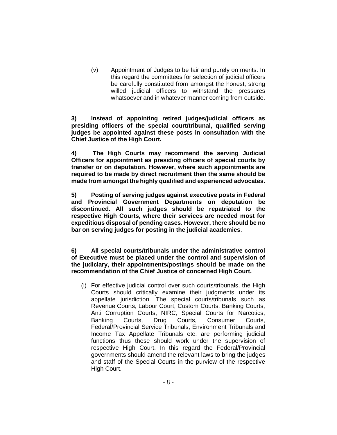(v) Appointment of Judges to be fair and purely on merits. In this regard the committees for selection of judicial officers be carefully constituted from amongst the honest, strong willed judicial officers to withstand the pressures whatsoever and in whatever manner coming from outside.

**3) Instead of appointing retired judges/judicial officers as presiding officers of the special court/tribunal, qualified serving judges be appointed against these posts in consultation with the Chief Justice of the High Court.**

**4) The High Courts may recommend the serving Judicial Officers for appointment as presiding officers of special courts by transfer or on deputation. However, where such appointments are required to be made by direct recruitment then the same should be made from amongst the highly qualified and experienced advocates.**

**5) Posting of serving judges against executive posts in Federal and Provincial Government Departments on deputation be discontinued. All such judges should be repatriated to the respective High Courts, where their services are needed most for expeditious disposal of pending cases. However, there should be no bar on serving judges for posting in the judicial academies**.

**6) All special courts/tribunals under the administrative control of Executive must be placed under the control and supervision of the judiciary, their appointments/postings should be made on the recommendation of the Chief Justice of concerned High Court.**

(i) For effective judicial control over such courts/tribunals, the High Courts should critically examine their judgments under its appellate jurisdiction. The special courts/tribunals such as Revenue Courts, Labour Court, Custom Courts, Banking Courts, Anti Corruption Courts, NIRC, Special Courts for Narcotics, Banking Courts, Drug Courts, Consumer Courts, Federal/Provincial Service Tribunals, Environment Tribunals and Income Tax Appellate Tribunals etc. are performing judicial functions thus these should work under the supervision of respective High Court. In this regard the Federal/Provincial governments should amend the relevant laws to bring the judges and staff of the Special Courts in the purview of the respective High Court.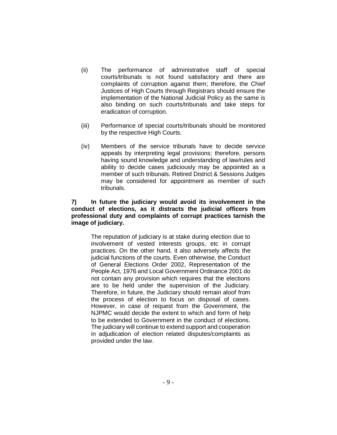- (ii) The performance of administrative staff of special courts/tribunals is not found satisfactory and there are complaints of corruption against them; therefore, the Chief Justices of High Courts through Registrars should ensure the implementation of the National Judicial Policy as the same is also binding on such courts/tribunals and take steps for eradication of corruption.
- (iii) Performance of special courts/tribunals should be monitored by the respective High Courts.
- (iv) Members of the service tribunals have to decide service appeals by interpreting legal provisions; therefore, persons having sound knowledge and understanding of law/rules and ability to decide cases judiciously may be appointed as a member of such tribunals. Retired District & Sessions Judges may be considered for appointment as member of such tribunals.

#### **7) In future the judiciary would avoid its involvement in the conduct of elections, as it distracts the judicial officers from professional duty and complaints of corrupt practices tarnish the image of judiciary.**

The reputation of judiciary is at stake during election due to involvement of vested interests groups, etc in corrupt practices. On the other hand, it also adversely affects the judicial functions of the courts. Even otherwise, the Conduct of General Elections Order 2002, Representation of the People Act, 1976 and Local Government Ordinance 2001 do not contain any provision which requires that the elections are to be held under the supervision of the Judiciary. Therefore, in future, the Judiciary should remain aloof from the process of election to focus on disposal of cases. However, in case of request from the Government, the NJPMC would decide the extent to which and form of help to be extended to Government in the conduct of elections. The judiciary will continue to extend support and cooperation in adjudication of election related disputes/complaints as provided under the law.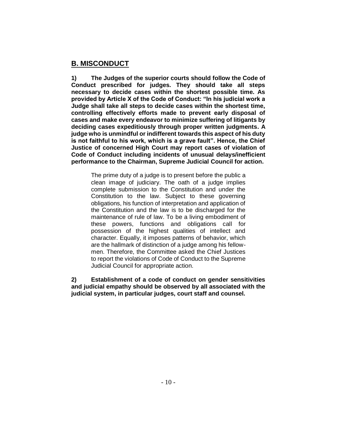# **B. MISCONDUCT**

**1) The Judges of the superior courts should follow the Code of Conduct prescribed for judges. They should take all steps necessary to decide cases within the shortest possible time. As provided by Article X of the Code of Conduct: "In his judicial work a Judge shall take all steps to decide cases within the shortest time, controlling effectively efforts made to prevent early disposal of cases and make every endeavor to minimize suffering of litigants by deciding cases expeditiously through proper written judgments. A judge who is unmindful or indifferent towards this aspect of his duty is not faithful to his work, which is a grave fault". Hence, the Chief Justice of concerned High Court may report cases of violation of Code of Conduct including incidents of unusual delays/inefficient performance to the Chairman, Supreme Judicial Council for action.**

The prime duty of a judge is to present before the public a clean image of judiciary. The oath of a judge implies complete submission to the Constitution and under the Constitution to the law. Subject to these governing obligations, his function of interpretation and application of the Constitution and the law is to be discharged for the maintenance of rule of law. To be a living embodiment of these powers, functions and obligations call for possession of the highest qualities of intellect and character. Equally, it imposes patterns of behavior, which are the hallmark of distinction of a judge among his fellowmen. Therefore, the Committee asked the Chief Justices to report the violations of Code of Conduct to the Supreme Judicial Council for appropriate action.

**2) Establishment of a code of conduct on gender sensitivities and judicial empathy should be observed by all associated with the judicial system, in particular judges, court staff and counsel.**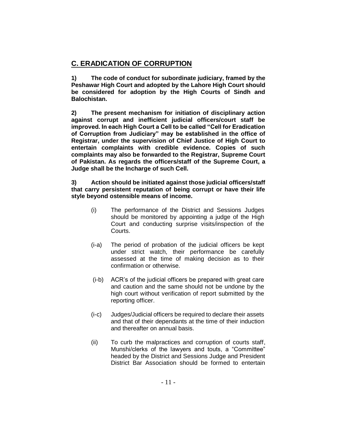# **C. ERADICATION OF CORRUPTION**

**1) The code of conduct for subordinate judiciary, framed by the Peshawar High Court and adopted by the Lahore High Court should be considered for adoption by the High Courts of Sindh and Balochistan.**

**2) The present mechanism for initiation of disciplinary action against corrupt and inefficient judicial officers/court staff be improved. In each High Court a Cell to be called "Cell for Eradication of Corruption from Judiciary" may be established in the office of Registrar, under the supervision of Chief Justice of High Court to entertain complaints with credible evidence. Copies of such complaints may also be forwarded to the Registrar, Supreme Court of Pakistan. As regards the officers/staff of the Supreme Court, a Judge shall be the Incharge of such Cell.**

#### **3) Action should be initiated against those judicial officers/staff that carry persistent reputation of being corrupt or have their life style beyond ostensible means of income.**

- (i) The performance of the District and Sessions Judges should be monitored by appointing a judge of the High Court and conducting surprise visits/inspection of the Courts.
- (i-a) The period of probation of the judicial officers be kept under strict watch, their performance be carefully assessed at the time of making decision as to their confirmation or otherwise.
- (i-b) ACR's of the judicial officers be prepared with great care and caution and the same should not be undone by the high court without verification of report submitted by the reporting officer.
- (i-c) Judges/Judicial officers be required to declare their assets and that of their dependants at the time of their induction and thereafter on annual basis.
- (ii) To curb the malpractices and corruption of courts staff, Munshi/clerks of the lawyers and touts, a "Committee" headed by the District and Sessions Judge and President District Bar Association should be formed to entertain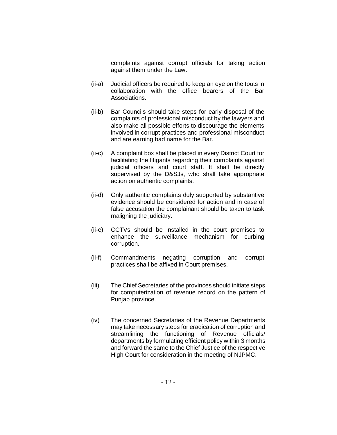complaints against corrupt officials for taking action against them under the Law.

- (ii-a) Judicial officers be required to keep an eye on the touts in collaboration with the office bearers of the Bar Associations.
- (ii-b) Bar Councils should take steps for early disposal of the complaints of professional misconduct by the lawyers and also make all possible efforts to discourage the elements involved in corrupt practices and professional misconduct and are earning bad name for the Bar.
- (ii-c) A complaint box shall be placed in every District Court for facilitating the litigants regarding their complaints against judicial officers and court staff. It shall be directly supervised by the D&SJs, who shall take appropriate action on authentic complaints.
- (ii-d) Only authentic complaints duly supported by substantive evidence should be considered for action and in case of false accusation the complainant should be taken to task maligning the judiciary.
- (ii-e) CCTVs should be installed in the court premises to enhance the surveillance mechanism for curbing corruption.
- (ii-f) Commandments negating corruption and corrupt practices shall be affixed in Court premises.
- (iii) The Chief Secretaries of the provinces should initiate steps for computerization of revenue record on the pattern of Punjab province.
- (iv) The concerned Secretaries of the Revenue Departments may take necessary steps for eradication of corruption and streamlining the functioning of Revenue officials/ departments by formulating efficient policy within 3 months and forward the same to the Chief Justice of the respective High Court for consideration in the meeting of NJPMC.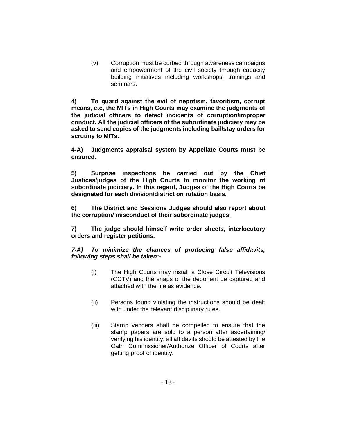(v) Corruption must be curbed through awareness campaigns and empowerment of the civil society through capacity building initiatives including workshops, trainings and seminars.

**4) To guard against the evil of nepotism, favoritism, corrupt means, etc, the MITs in High Courts may examine the judgments of the judicial officers to detect incidents of corruption/improper conduct. All the judicial officers of the subordinate judiciary may be asked to send copies of the judgments including bail/stay orders for scrutiny to MITs.** 

**4-A) Judgments appraisal system by Appellate Courts must be ensured.**

**5) Surprise inspections be carried out by the Chief Justices/judges of the High Courts to monitor the working of subordinate judiciary. In this regard, Judges of the High Courts be designated for each division/district on rotation basis.**

**6) The District and Sessions Judges should also report about the corruption/ misconduct of their subordinate judges.**

**7) The judge should himself write order sheets, interlocutory orders and register petitions.** 

*7-A) To minimize the chances of producing false affidavits, following steps shall be taken:-*

- (i) The High Courts may install a Close Circuit Televisions (CCTV) and the snaps of the deponent be captured and attached with the file as evidence.
- (ii) Persons found violating the instructions should be dealt with under the relevant disciplinary rules.
- (iii) Stamp venders shall be compelled to ensure that the stamp papers are sold to a person after ascertaining/ verifying his identity, all affidavits should be attested by the Oath Commissioner/Authorize Officer of Courts after getting proof of identity.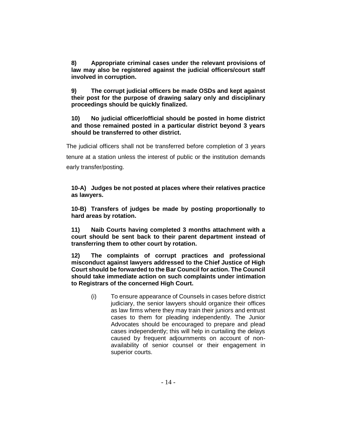**8) Appropriate criminal cases under the relevant provisions of law may also be registered against the judicial officers/court staff involved in corruption.**

**9) The corrupt judicial officers be made OSDs and kept against their post for the purpose of drawing salary only and disciplinary proceedings should be quickly finalized.**

**10) No judicial officer/official should be posted in home district and those remained posted in a particular district beyond 3 years should be transferred to other district.**

The judicial officers shall not be transferred before completion of 3 years tenure at a station unless the interest of public or the institution demands early transfer/posting.

**10-A) Judges be not posted at places where their relatives practice as lawyers.**

**10-B) Transfers of judges be made by posting proportionally to hard areas by rotation.**

**11) Naib Courts having completed 3 months attachment with a court should be sent back to their parent department instead of transferring them to other court by rotation.** 

**12) The complaints of corrupt practices and professional misconduct against lawyers addressed to the Chief Justice of High Court should be forwarded to the Bar Council for action. The Council should take immediate action on such complaints under intimation to Registrars of the concerned High Court.**

(i) To ensure appearance of Counsels in cases before district judiciary, the senior lawyers should organize their offices as law firms where they may train their juniors and entrust cases to them for pleading independently. The Junior Advocates should be encouraged to prepare and plead cases independently; this will help in curtailing the delays caused by frequent adjournments on account of nonavailability of senior counsel or their engagement in superior courts.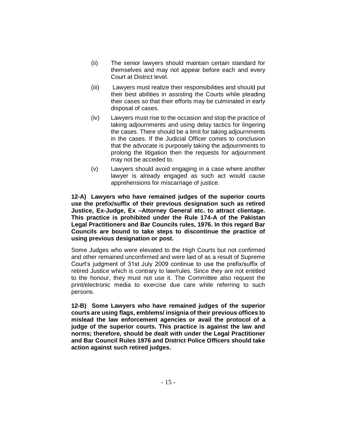- (ii) The senior lawyers should maintain certain standard for themselves and may not appear before each and every Court at District level.
- (iii) Lawyers must realize their responsibilities and should put their best abilities in assisting the Courts while pleading their cases so that their efforts may be culminated in early disposal of cases.
- (iv) Lawyers must rise to the occasion and stop the practice of taking adjournments and using delay tactics for lingering the cases. There should be a limit for taking adjournments in the cases. If the Judicial Officer comes to conclusion that the advocate is purposely taking the adjournments to prolong the litigation then the requests for adjournment may not be acceded to.
- (v) Lawyers should avoid engaging in a case where another lawyer is already engaged as such act would cause apprehensions for miscarriage of justice.

**12-A) Lawyers who have remained judges of the superior courts use the prefix/suffix of their previous designation such as retired Justice, Ex-Judge, Ex –Attorney General etc. to attract clientage. This practice is prohibited under the Rule 174-A of the Pakistan Legal Practitioners and Bar Councils rules, 1976. In this regard Bar Councils are bound to take steps to discontinue the practice of using previous designation or post.**

Some Judges who were elevated to the High Courts but not confirmed and other remained unconfirmed and were laid of as a result of Supreme Court's judgment of 31st July 2009 continue to use the prefix/suffix of retired Justice which is contrary to law/rules. Since they are not entitled to the honour, they must not use it. The Committee also request the print/electronic media to exercise due care while referring to such persons.

**12-B) Some Lawyers who have remained judges of the superior courts are using flags, emblems/ insignia of their previous offices to mislead the law enforcement agencies or avail the protocol of a judge of the superior courts. This practice is against the law and norms; therefore, should be dealt with under the Legal Practitioner and Bar Council Rules 1976 and District Police Officers should take action against such retired judges.**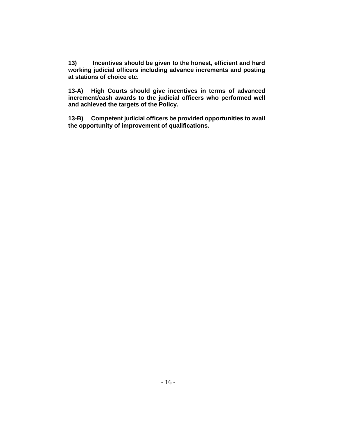**13) Incentives should be given to the honest, efficient and hard working judicial officers including advance increments and posting at stations of choice etc.**

**13-A) High Courts should give incentives in terms of advanced increment/cash awards to the judicial officers who performed well and achieved the targets of the Policy.**

**13-B) Competent judicial officers be provided opportunities to avail the opportunity of improvement of qualifications.**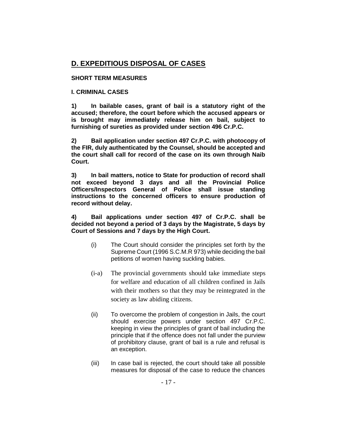# **D. EXPEDITIOUS DISPOSAL OF CASES**

#### **SHORT TERM MEASURES**

#### **I. CRIMINAL CASES**

**1) In bailable cases, grant of bail is a statutory right of the accused; therefore, the court before which the accused appears or is brought may immediately release him on bail, subject to furnishing of sureties as provided under section 496 Cr.P.C.** 

**2) Bail application under section 497 Cr.P.C. with photocopy of the FIR, duly authenticated by the Counsel, should be accepted and the court shall call for record of the case on its own through Naib Court.**

**3) In bail matters, notice to State for production of record shall not exceed beyond 3 days and all the Provincial Police Officers/Inspectors General of Police shall issue standing instructions to the concerned officers to ensure production of record without delay.**

**4) Bail applications under section 497 of Cr.P.C. shall be decided not beyond a period of 3 days by the Magistrate, 5 days by Court of Sessions and 7 days by the High Court.**

- (i) The Court should consider the principles set forth by the Supreme Court (1996 S.C.M.R 973) while deciding the bail petitions of women having suckling babies.
- (i-a) The provincial governments should take immediate steps for welfare and education of all children confined in Jails with their mothers so that they may be reintegrated in the society as law abiding citizens.
- (ii) To overcome the problem of congestion in Jails, the court should exercise powers under section 497 Cr.P.C. keeping in view the principles of grant of bail including the principle that if the offence does not fall under the purview of prohibitory clause, grant of bail is a rule and refusal is an exception.
- (iii) In case bail is rejected, the court should take all possible measures for disposal of the case to reduce the chances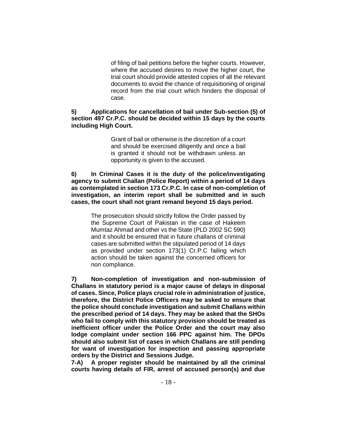of filing of bail petitions before the higher courts. However, where the accused desires to move the higher court, the trial court should provide attested copies of all the relevant documents to avoid the chance of requisitioning of original record from the trial court which hinders the disposal of case.

#### **5) Applications for cancellation of bail under Sub-section (5) of section 497 Cr.P.C. should be decided within 15 days by the courts including High Court.**

Grant of bail or otherwise is the discretion of a court and should be exercised diligently and once a bail is granted it should not be withdrawn unless an opportunity is given to the accused.

#### **6) In Criminal Cases it is the duty of the police/investigating agency to submit Challan (Police Report) within a period of 14 days as contemplated in section 173 Cr.P.C. In case of non-completion of investigation, an interim report shall be submitted and in such cases, the court shall not grant remand beyond 15 days period.**

The prosecution should strictly follow the Order passed by the Supreme Court of Pakistan in the case of Hakeem Mumtaz Ahmad and other vs the State (PLD 2002 SC 590) and it should be ensured that in future challans of criminal cases are submitted within the stipulated period of 14 days as provided under section 173(1) Cr.P.C failing which action should be taken against the concerned officers for non compliance.

**7) Non-completion of investigation and non-submission of Challans in statutory period is a major cause of delays in disposal of cases. Since, Police plays crucial role in administration of justice, therefore, the District Police Officers may be asked to ensure that the police should conclude investigation and submit Challans within the prescribed period of 14 days. They may be asked that the SHOs who fail to comply with this statutory provision should be treated as inefficient officer under the Police Order and the court may also lodge complaint under section 166 PPC against him. The DPOs should also submit list of cases in which Challans are still pending for want of investigation for inspection and passing appropriate orders by the District and Sessions Judge.**

**7-A) A proper register should be maintained by all the criminal courts having details of FIR, arrest of accused person(s) and due**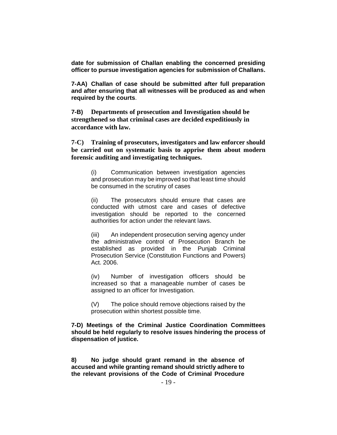**date for submission of Challan enabling the concerned presiding officer to pursue investigation agencies for submission of Challans.**

**7-AA) Challan of case should be submitted after full preparation and after ensuring that all witnesses will be produced as and when required by the courts**.

**7-B) Departments of prosecution and Investigation should be strengthened so that criminal cases are decided expeditiously in accordance with law.**

**7-C) Training of prosecutors, investigators and law enforcer should be carried out on systematic basis to apprise them about modern forensic auditing and investigating techniques.**

> (i) Communication between investigation agencies and prosecution may be improved so that least time should be consumed in the scrutiny of cases

> (ii) The prosecutors should ensure that cases are conducted with utmost care and cases of defective investigation should be reported to the concerned authorities for action under the relevant laws.

> (iii) An independent prosecution serving agency under the administrative control of Prosecution Branch be established as provided in the Punjab Criminal Prosecution Service (Constitution Functions and Powers) Act. 2006.

> (iv) Number of investigation officers should be increased so that a manageable number of cases be assigned to an officer for Investigation.

> (V) The police should remove objections raised by the prosecution within shortest possible time.

**7-D) Meetings of the Criminal Justice Coordination Committees should be held regularly to resolve issues hindering the process of dispensation of justice.** 

**8) No judge should grant remand in the absence of accused and while granting remand should strictly adhere to the relevant provisions of the Code of Criminal Procedure**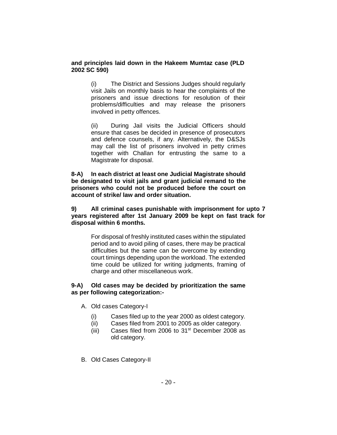#### **and principles laid down in the Hakeem Mumtaz case (PLD 2002 SC 590)**

(i) The District and Sessions Judges should regularly visit Jails on monthly basis to hear the complaints of the prisoners and issue directions for resolution of their problems/difficulties and may release the prisoners involved in petty offences.

(ii) During Jail visits the Judicial Officers should ensure that cases be decided in presence of prosecutors and defence counsels, if any. Alternatively, the D&SJs may call the list of prisoners involved in petty crimes together with Challan for entrusting the same to a Magistrate for disposal.

**8-A) In each district at least one Judicial Magistrate should be designated to visit jails and grant judicial remand to the prisoners who could not be produced before the court on account of strike/ law and order situation.** 

**9) All criminal cases punishable with imprisonment for upto 7 years registered after 1st January 2009 be kept on fast track for disposal within 6 months.**

> For disposal of freshly instituted cases within the stipulated period and to avoid piling of cases, there may be practical difficulties but the same can be overcome by extending court timings depending upon the workload. The extended time could be utilized for writing judgments, framing of charge and other miscellaneous work.

#### **9-A) Old cases may be decided by prioritization the same as per following categorization:-**

- A. Old cases Category-I
	- (i) Cases filed up to the year 2000 as oldest category.
	- (ii) Cases filed from 2001 to 2005 as older category.
	- (iii) Cases filed from 2006 to  $31<sup>st</sup>$  December 2008 as old category.
- B. Old Cases Category-II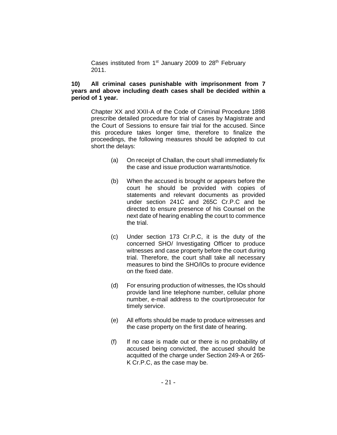Cases instituted from  $1<sup>st</sup>$  January 2009 to 28<sup>th</sup> February 2011.

#### **10) All criminal cases punishable with imprisonment from 7 years and above including death cases shall be decided within a period of 1 year.**

Chapter XX and XXII-A of the Code of Criminal Procedure 1898 prescribe detailed procedure for trial of cases by Magistrate and the Court of Sessions to ensure fair trial for the accused. Since this procedure takes longer time, therefore to finalize the proceedings, the following measures should be adopted to cut short the delays:

- (a) On receipt of Challan, the court shall immediately fix the case and issue production warrants/notice.
- (b) When the accused is brought or appears before the court he should be provided with copies of statements and relevant documents as provided under section 241C and 265C Cr.P.C and be directed to ensure presence of his Counsel on the next date of hearing enabling the court to commence the trial.
- (c) Under section 173 Cr.P.C, it is the duty of the concerned SHO/ Investigating Officer to produce witnesses and case property before the court during trial. Therefore, the court shall take all necessary measures to bind the SHO/IOs to procure evidence on the fixed date.
- (d) For ensuring production of witnesses, the IOs should provide land line telephone number, cellular phone number, e-mail address to the court/prosecutor for timely service.
- (e) All efforts should be made to produce witnesses and the case property on the first date of hearing.
- (f) If no case is made out or there is no probability of accused being convicted, the accused should be acquitted of the charge under Section 249-A or 265- K Cr.P.C, as the case may be.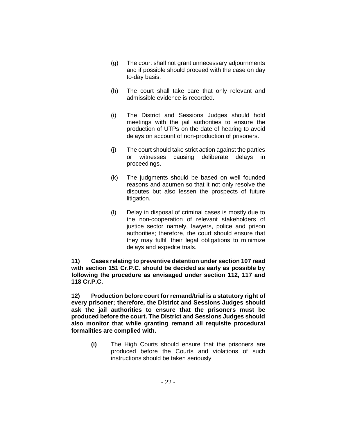- (g) The court shall not grant unnecessary adjournments and if possible should proceed with the case on day to-day basis.
- (h) The court shall take care that only relevant and admissible evidence is recorded.
- (i) The District and Sessions Judges should hold meetings with the jail authorities to ensure the production of UTPs on the date of hearing to avoid delays on account of non-production of prisoners.
- (j) The court should take strict action against the parties or witnesses causing deliberate delays in proceedings.
- (k) The judgments should be based on well founded reasons and acumen so that it not only resolve the disputes but also lessen the prospects of future litigation.
- (l) Delay in disposal of criminal cases is mostly due to the non-cooperation of relevant stakeholders of justice sector namely, lawyers, police and prison authorities; therefore, the court should ensure that they may fulfill their legal obligations to minimize delays and expedite trials.

**11) Cases relating to preventive detention under section 107 read with section 151 Cr.P.C. should be decided as early as possible by following the procedure as envisaged under section 112, 117 and 118 Cr.P.C.**

**12) Production before court for remand/trial is a statutory right of every prisoner; therefore, the District and Sessions Judges should ask the jail authorities to ensure that the prisoners must be produced before the court. The District and Sessions Judges should also monitor that while granting remand all requisite procedural formalities are complied with.**

> **(i)** The High Courts should ensure that the prisoners are produced before the Courts and violations of such instructions should be taken seriously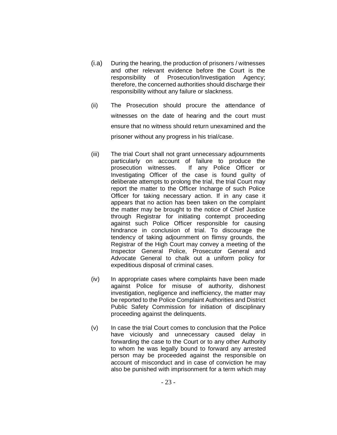- (i.a) During the hearing, the production of prisoners / witnesses and other relevant evidence before the Court is the responsibility of Prosecution/Investigation Agency; therefore, the concerned authorities should discharge their responsibility without any failure or slackness.
- (ii) The Prosecution should procure the attendance of witnesses on the date of hearing and the court must ensure that no witness should return unexamined and the prisoner without any progress in his trial/case.
- (iii) The trial Court shall not grant unnecessary adjournments particularly on account of failure to produce the prosecution witnesses. If any Police Officer or Investigating Officer of the case is found guilty of deliberate attempts to prolong the trial, the trial Court may report the matter to the Officer Incharge of such Police Officer for taking necessary action. If in any case it appears that no action has been taken on the complaint the matter may be brought to the notice of Chief Justice through Registrar for initiating contempt proceeding against such Police Officer responsible for causing hindrance in conclusion of trial. To discourage the tendency of taking adjournment on flimsy grounds, the Registrar of the High Court may convey a meeting of the Inspector General Police, Prosecutor General and Advocate General to chalk out a uniform policy for expeditious disposal of criminal cases.
- (iv) In appropriate cases where complaints have been made against Police for misuse of authority, dishonest investigation, negligence and inefficiency, the matter may be reported to the Police Complaint Authorities and District Public Safety Commission for initiation of disciplinary proceeding against the delinquents.
- (v) In case the trial Court comes to conclusion that the Police have viciously and unnecessary caused delay in forwarding the case to the Court or to any other Authority to whom he was legally bound to forward any arrested person may be proceeded against the responsible on account of misconduct and in case of conviction he may also be punished with imprisonment for a term which may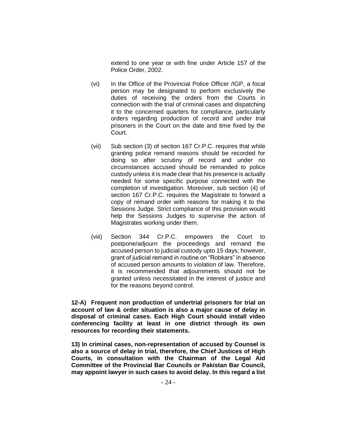extend to one year or with fine under Article 157 of the Police Order, 2002.

- (vi) In the Office of the Provincial Police Officer /IGP, a focal person may be designated to perform exclusively the duties of receiving the orders from the Courts in connection with the trial of criminal cases and dispatching it to the concerned quarters for compliance, particularly orders regarding production of record and under trial prisoners in the Court on the date and time fixed by the Court.
- (vii) Sub section (3) of section 167 Cr.P.C. requires that while granting police remand reasons should be recorded for doing so after scrutiny of record and under no circumstances accused should be remanded to police custody unless it is made clear that his presence is actually needed for some specific purpose connected with the completion of investigation. Moreover, sub section (4) of section 167 Cr.P.C. requires the Magistrate to forward a copy of remand order with reasons for making it to the Sessions Judge. Strict compliance of this provision would help the Sessions Judges to supervise the action of Magistrates working under them.
- (viii) Section 344 Cr.P.C. empowers the Court to postpone/adjourn the proceedings and remand the accused person to judicial custody upto 15 days; however, grant of judicial remand in routine on "Robkars" in absence of accused person amounts to violation of law. Therefore, it is recommended that adjournments should not be granted unless necessitated in the interest of justice and for the reasons beyond control.

**12-A) Frequent non production of undertrial prisoners for trial on account of law & order situation is also a major cause of delay in disposal of criminal cases. Each High Court should install video conferencing facility at least in one district through its own resources for recording their statements.**

**13) In criminal cases, non-representation of accused by Counsel is also a source of delay in trial, therefore, the Chief Justices of High Courts, in consultation with the Chairman of the Legal Aid Committee of the Provincial Bar Councils or Pakistan Bar Council, may appoint lawyer in such cases to avoid delay. In this regard a list**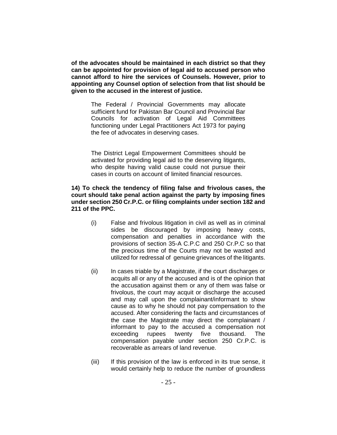**of the advocates should be maintained in each district so that they can be appointed for provision of legal aid to accused person who cannot afford to hire the services of Counsels. However, prior to appointing any Counsel option of selection from that list should be given to the accused in the interest of justice.**

> The Federal / Provincial Governments may allocate sufficient fund for Pakistan Bar Council and Provincial Bar Councils for activation of Legal Aid Committees functioning under Legal Practitioners Act 1973 for paying the fee of advocates in deserving cases.

> The District Legal Empowerment Committees should be activated for providing legal aid to the deserving litigants, who despite having valid cause could not pursue their cases in courts on account of limited financial resources.

#### **14) To check the tendency of filing false and frivolous cases, the court should take penal action against the party by imposing fines under section 250 Cr.P.C. or filing complaints under section 182 and 211 of the PPC.**

- (i) False and frivolous litigation in civil as well as in criminal sides be discouraged by imposing heavy costs, compensation and penalties in accordance with the provisions of section 35-A C.P.C and 250 Cr.P.C so that the precious time of the Courts may not be wasted and utilized for redressal of genuine grievances of the litigants.
- (ii) In cases triable by a Magistrate, if the court discharges or acquits all or any of the accused and is of the opinion that the accusation against them or any of them was false or frivolous, the court may acquit or discharge the accused and may call upon the complainant/informant to show cause as to why he should not pay compensation to the accused. After considering the facts and circumstances of the case the Magistrate may direct the complainant / informant to pay to the accused a compensation not exceeding rupees twenty five thousand. The compensation payable under section 250 Cr.P.C. is recoverable as arrears of land revenue.
- (iii) If this provision of the law is enforced in its true sense, it would certainly help to reduce the number of groundless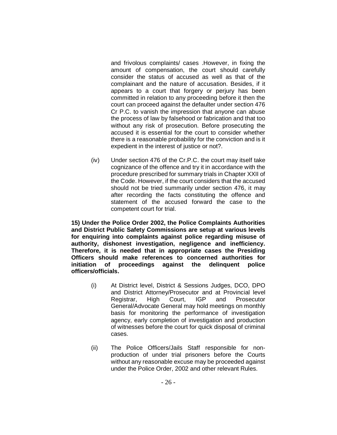and frivolous complaints/ cases .However, in fixing the amount of compensation, the court should carefully consider the status of accused as well as that of the complainant and the nature of accusation. Besides, if it appears to a court that forgery or perjury has been committed in relation to any proceeding before it then the court can proceed against the defaulter under section 476 Cr P.C. to vanish the impression that anyone can abuse the process of law by falsehood or fabrication and that too without any risk of prosecution. Before prosecuting the accused it is essential for the court to consider whether there is a reasonable probability for the conviction and is it expedient in the interest of justice or not?.

(iv) Under section 476 of the Cr.P.C. the court may itself take cognizance of the offence and try it in accordance with the procedure prescribed for summary trials in Chapter XXII of the Code. However, if the court considers that the accused should not be tried summarily under section 476, it may after recording the facts constituting the offence and statement of the accused forward the case to the competent court for trial.

**15) Under the Police Order 2002, the Police Complaints Authorities and District Public Safety Commissions are setup at various levels for enquiring into complaints against police regarding misuse of authority, dishonest investigation, negligence and inefficiency. Therefore, it is needed that in appropriate cases the Presiding Officers should make references to concerned authorities for initiation of proceedings against the delinquent police officers/officials.**

- (i) At District level, District & Sessions Judges, DCO, DPO and District Attorney/Prosecutor and at Provincial level Registrar, High Court, IGP and Prosecutor General/Advocate General may hold meetings on monthly basis for monitoring the performance of investigation agency, early completion of investigation and production of witnesses before the court for quick disposal of criminal cases.
- (ii) The Police Officers/Jails Staff responsible for nonproduction of under trial prisoners before the Courts without any reasonable excuse may be proceeded against under the Police Order, 2002 and other relevant Rules.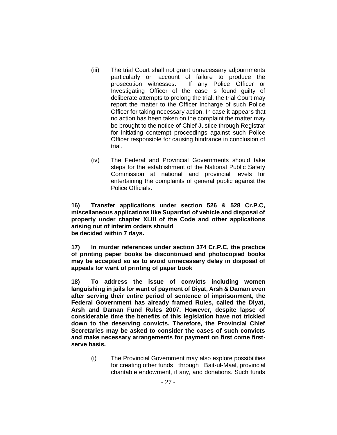- (iii) The trial Court shall not grant unnecessary adjournments particularly on account of failure to produce the prosecution witnesses. If any Police Officer or Investigating Officer of the case is found guilty of deliberate attempts to prolong the trial, the trial Court may report the matter to the Officer Incharge of such Police Officer for taking necessary action. In case it appears that no action has been taken on the complaint the matter may be brought to the notice of Chief Justice through Registrar for initiating contempt proceedings against such Police Officer responsible for causing hindrance in conclusion of trial.
- (iv) The Federal and Provincial Governments should take steps for the establishment of the National Public Safety Commission at national and provincial levels for entertaining the complaints of general public against the Police Officials.

**16) Transfer applications under section 526 & 528 Cr.P.C, miscellaneous applications like Supardari of vehicle and disposal of property under chapter XLIII of the Code and other applications arising out of interim orders should be decided within 7 days.**

**17) In murder references under section 374 Cr.P.C, the practice of printing paper books be discontinued and photocopied books may be accepted so as to avoid unnecessary delay in disposal of appeals for want of printing of paper book**

**18) To address the issue of convicts including women languishing in jails for want of payment of Diyat, Arsh & Daman even after serving their entire period of sentence of imprisonment, the Federal Government has already framed Rules, called the Diyat, Arsh and Daman Fund Rules 2007. However, despite lapse of considerable time the benefits of this legislation have not trickled down to the deserving convicts. Therefore, the Provincial Chief Secretaries may be asked to consider the cases of such convicts and make necessary arrangements for payment on first come firstserve basis.**

> (i) The Provincial Government may also explore possibilities for creating other funds through Bait-ul-Maal, provincial charitable endowment, if any, and donations. Such funds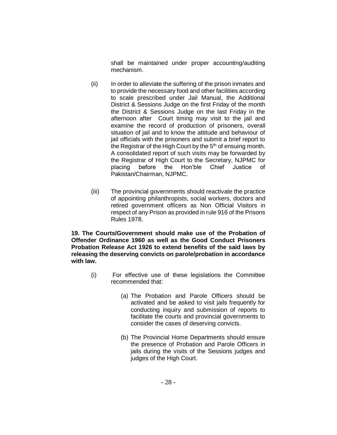shall be maintained under proper accounting/auditing mechanism.

- (ii) In order to alleviate the suffering of the prison inmates and to provide the necessary food and other facilities according to scale prescribed under Jail Manual, the Additional District & Sessions Judge on the first Friday of the month the District & Sessions Judge on the last Friday in the afternoon after Court timing may visit to the jail and examine the record of production of prisoners, overall situation of jail and to know the attitude and behaviour of jail officials with the prisoners and submit a brief report to the Registrar of the High Court by the  $5<sup>th</sup>$  of ensuing month. A consolidated report of such visits may be forwarded by the Registrar of High Court to the Secretary, NJPMC for placing before the Hon'ble Chief Justice of Pakistan/Chairman, NJPMC.
- (iii) The provincial governments should reactivate the practice of appointing philanthropists, social workers, doctors and retired government officers as Non Official Visitors in respect of any Prison as provided in rule 916 of the Prisons Rules 1978.

**19. The Courts/Government should make use of the Probation of Offender Ordinance 1960 as well as the Good Conduct Prisoners Probation Release Act 1926 to extend benefits of the said laws by releasing the deserving convicts on parole/probation in accordance with law.**

- (i) For effective use of these legislations the Committee recommended that:
	- (a) The Probation and Parole Officers should be activated and be asked to visit jails frequently for conducting inquiry and submission of reports to facilitate the courts and provincial governments to consider the cases of deserving convicts.
	- (b) The Provincial Home Departments should ensure the presence of Probation and Parole Officers in jails during the visits of the Sessions judges and judges of the High Court.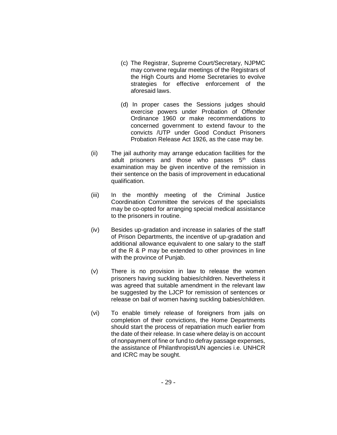- (c) The Registrar, Supreme Court/Secretary, NJPMC may convene regular meetings of the Registrars of the High Courts and Home Secretaries to evolve strategies for effective enforcement of the aforesaid laws.
- (d) In proper cases the Sessions judges should exercise powers under Probation of Offender Ordinance 1960 or make recommendations to concerned government to extend favour to the convicts /UTP under Good Conduct Prisoners Probation Release Act 1926, as the case may be.
- (ii) The jail authority may arrange education facilities for the adult prisoners and those who passes  $5<sup>th</sup>$  class examination may be given incentive of the remission in their sentence on the basis of improvement in educational qualification.
- (iii) In the monthly meeting of the Criminal Justice Coordination Committee the services of the specialists may be co-opted for arranging special medical assistance to the prisoners in routine.
- (iv) Besides up-gradation and increase in salaries of the staff of Prison Departments, the incentive of up-gradation and additional allowance equivalent to one salary to the staff of the R & P may be extended to other provinces in line with the province of Punjab.
- (v) There is no provision in law to release the women prisoners having suckling babies/children. Nevertheless it was agreed that suitable amendment in the relevant law be suggested by the LJCP for remission of sentences or release on bail of women having suckling babies/children.
- (vi) To enable timely release of foreigners from jails on completion of their convictions, the Home Departments should start the process of repatriation much earlier from the date of their release. In case where delay is on account of nonpayment of fine or fund to defray passage expenses, the assistance of Philanthropist/UN agencies i.e. UNHCR and ICRC may be sought.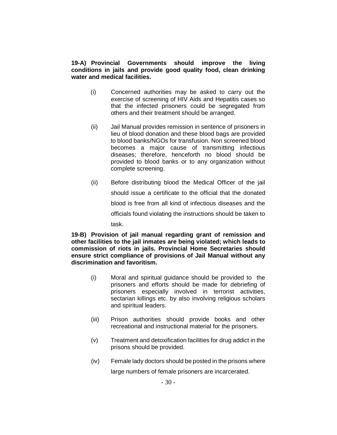#### **19-A) Provincial Governments should improve the living conditions in jails and provide good quality food, clean drinking water and medical facilities.**

- (i) Concerned authorities may be asked to carry out the exercise of screening of HIV Aids and Hepatitis cases so that the infected prisoners could be segregated from others and their treatment should be arranged.
- (ii) Jail Manual provides remission in sentence of prisoners in lieu of blood donation and these blood bags are provided to blood banks/NGOs for transfusion. Non screened blood becomes a major cause of transmitting infectious diseases; therefore, henceforth no blood should be provided to blood banks or to any organization without complete screening.
- (ii) Before distributing blood the Medical Officer of the jail should issue a certificate to the official that the donated blood is free from all kind of infectious diseases and the officials found violating the instructions should be taken to task.

**19-B) Provision of jail manual regarding grant of remission and other facilities to the jail inmates are being violated; which leads to commission of riots in jails. Provincial Home Secretaries should ensure strict compliance of provisions of Jail Manual without any discrimination and favoritism.**

- (i) Moral and spiritual guidance should be provided to the prisoners and efforts should be made for debriefing of prisoners especially involved in terrorist activities, sectarian killings etc. by also involving religious scholars and spiritual leaders.
- (iii) Prison authorities should provide books and other recreational and instructional material for the prisoners.
- (v) Treatment and detoxification facilities for drug addict in the prisons should be provided.
- (iv) Female lady doctors should be posted in the prisons where large numbers of female prisoners are incarcerated.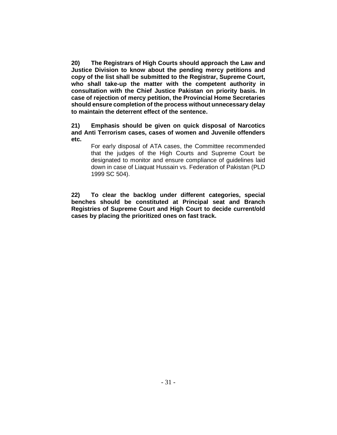**20) The Registrars of High Courts should approach the Law and Justice Division to know about the pending mercy petitions and copy of the list shall be submitted to the Registrar, Supreme Court, who shall take-up the matter with the competent authority in consultation with the Chief Justice Pakistan on priority basis. In case of rejection of mercy petition, the Provincial Home Secretaries should ensure completion of the process without unnecessary delay to maintain the deterrent effect of the sentence.**

**21) Emphasis should be given on quick disposal of Narcotics and Anti Terrorism cases, cases of women and Juvenile offenders etc.**

For early disposal of ATA cases, the Committee recommended that the judges of the High Courts and Supreme Court be designated to monitor and ensure compliance of guidelines laid down in case of Liaquat Hussain vs. Federation of Pakistan (PLD 1999 SC 504).

**22) To clear the backlog under different categories, special benches should be constituted at Principal seat and Branch Registries of Supreme Court and High Court to decide current/old cases by placing the prioritized ones on fast track.**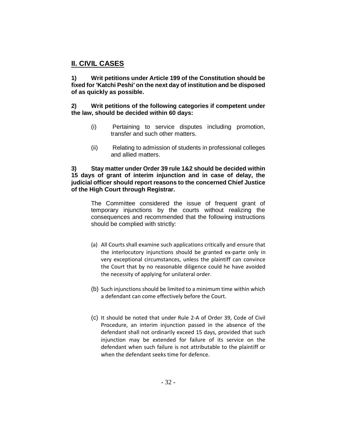# **II. CIVIL CASES**

**1) Writ petitions under Article 199 of the Constitution should be fixed for 'Katchi Peshi' on the next day of institution and be disposed of as quickly as possible.**

#### **2) Writ petitions of the following categories if competent under the law, should be decided within 60 days:**

- (i) Pertaining to service disputes including promotion, transfer and such other matters.
- (ii) Relating to admission of students in professional colleges and allied matters.

#### **3) Stay matter under Order 39 rule 1&2 should be decided within 15 days of grant of interim injunction and in case of delay, the judicial officer should report reasons to the concerned Chief Justice of the High Court through Registrar.**

The Committee considered the issue of frequent grant of temporary injunctions by the courts without realizing the consequences and recommended that the following instructions should be complied with strictly:

- (a) All Courts shall examine such applications critically and ensure that the interlocutory injunctions should be granted ex-parte only in very exceptional circumstances, unless the plaintiff can convince the Court that by no reasonable diligence could he have avoided the necessity of applying for unilateral order.
- (b) Such injunctions should be limited to a minimum time within which a defendant can come effectively before the Court.
- (c) It should be noted that under Rule 2-A of Order 39, Code of Civil Procedure, an interim injunction passed in the absence of the defendant shall not ordinarily exceed 15 days, provided that such injunction may be extended for failure of its service on the defendant when such failure is not attributable to the plaintiff or when the defendant seeks time for defence.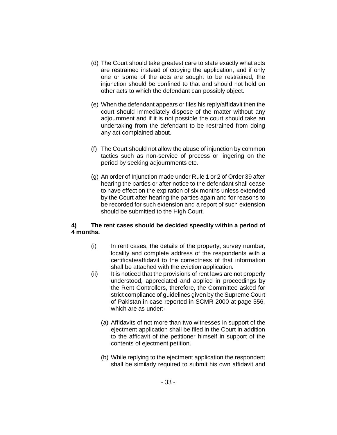- (d) The Court should take greatest care to state exactly what acts are restrained instead of copying the application, and if only one or some of the acts are sought to be restrained, the injunction should be confined to that and should not hold on other acts to which the defendant can possibly object.
- (e) When the defendant appears or files his reply/affidavit then the court should immediately dispose of the matter without any adjournment and if it is not possible the court should take an undertaking from the defendant to be restrained from doing any act complained about.
- (f) The Court should not allow the abuse of injunction by common tactics such as non-service of process or lingering on the period by seeking adjournments etc.
- (g) An order of Injunction made under Rule 1 or 2 of Order 39 after hearing the parties or after notice to the defendant shall cease to have effect on the expiration of six months unless extended by the Court after hearing the parties again and for reasons to be recorded for such extension and a report of such extension should be submitted to the High Court.

#### **4) The rent cases should be decided speedily within a period of 4 months.**

- (i) In rent cases, the details of the property, survey number, locality and complete address of the respondents with a certificate/affidavit to the correctness of that information shall be attached with the eviction application.
- (ii) It is noticed that the provisions of rent laws are not properly understood, appreciated and applied in proceedings by the Rent Controllers, therefore, the Committee asked for strict compliance of guidelines given by the Supreme Court of Pakistan in case reported in SCMR 2000 at page 556, which are as under:-
	- (a) Affidavits of not more than two witnesses in support of the ejectment application shall be filed in the Court in addition to the affidavit of the petitioner himself in support of the contents of ejectment petition.
	- (b) While replying to the ejectment application the respondent shall be similarly required to submit his own affidavit and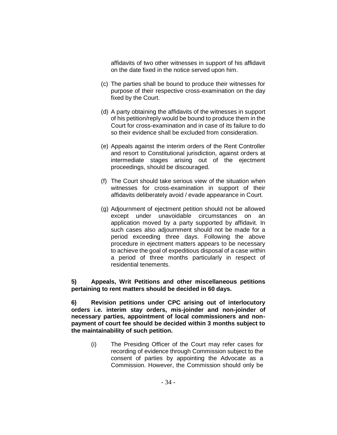affidavits of two other witnesses in support of his affidavit on the date fixed in the notice served upon him.

- (c) The parties shall be bound to produce their witnesses for purpose of their respective cross-examination on the day fixed by the Court.
- (d) A party obtaining the affidavits of the witnesses in support of his petition/reply would be bound to produce them in the Court for cross-examination and in case of its failure to do so their evidence shall be excluded from consideration.
- (e) Appeals against the interim orders of the Rent Controller and resort to Constitutional jurisdiction, against orders at intermediate stages arising out of the ejectment proceedings, should be discouraged.
- (f) The Court should take serious view of the situation when witnesses for cross-examination in support of their affidavits deliberately avoid / evade appearance in Court.
- (g) Adjournment of ejectment petition should not be allowed except under unavoidable circumstances on an application moved by a party supported by affidavit. In such cases also adjournment should not be made for a period exceeding three days. Following the above procedure in ejectment matters appears to be necessary to achieve the goal of expeditious disposal of a case within a period of three months particularly in respect of residential tenements.

#### **5) Appeals, Writ Petitions and other miscellaneous petitions pertaining to rent matters should be decided in 60 days.**

**6) Revision petitions under CPC arising out of interlocutory orders i.e. interim stay orders, mis-joinder and non-joinder of necessary parties, appointment of local commissioners and nonpayment of court fee should be decided within 3 months subject to the maintainability of such petition.**

> (i) The Presiding Officer of the Court may refer cases for recording of evidence through Commission subject to the consent of parties by appointing the Advocate as a Commission. However, the Commission should only be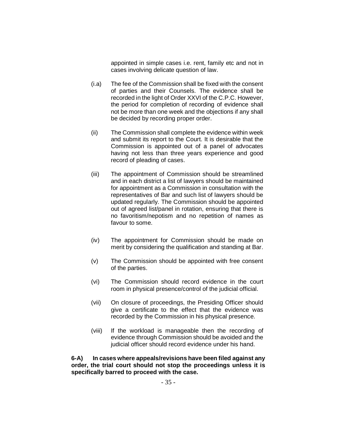appointed in simple cases i.e. rent, family etc and not in cases involving delicate question of law.

- (i.a) The fee of the Commission shall be fixed with the consent of parties and their Counsels. The evidence shall be recorded in the light of Order XXVI of the C.P.C. However, the period for completion of recording of evidence shall not be more than one week and the objections if any shall be decided by recording proper order.
- (ii) The Commission shall complete the evidence within week and submit its report to the Court. It is desirable that the Commission is appointed out of a panel of advocates having not less than three years experience and good record of pleading of cases.
- (iii) The appointment of Commission should be streamlined and in each district a list of lawyers should be maintained for appointment as a Commission in consultation with the representatives of Bar and such list of lawyers should be updated regularly. The Commission should be appointed out of agreed list/panel in rotation, ensuring that there is no favoritism/nepotism and no repetition of names as favour to some.
- (iv) The appointment for Commission should be made on merit by considering the qualification and standing at Bar.
- (v) The Commission should be appointed with free consent of the parties.
- (vi) The Commission should record evidence in the court room in physical presence/control of the judicial official.
- (vii) On closure of proceedings, the Presiding Officer should give a certificate to the effect that the evidence was recorded by the Commission in his physical presence.
- (viii) If the workload is manageable then the recording of evidence through Commission should be avoided and the judicial officer should record evidence under his hand.

**6-A) In cases where appeals/revisions have been filed against any order, the trial court should not stop the proceedings unless it is specifically barred to proceed with the case.**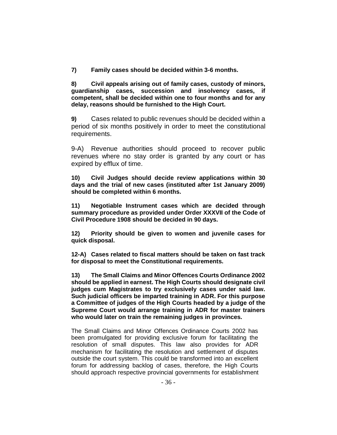**7) Family cases should be decided within 3-6 months.**

**8) Civil appeals arising out of family cases, custody of minors, guardianship cases, succession and insolvency cases, if competent, shall be decided within one to four months and for any delay, reasons should be furnished to the High Court.**

**9)** Cases related to public revenues should be decided within a period of six months positively in order to meet the constitutional requirements.

9-A) Revenue authorities should proceed to recover public revenues where no stay order is granted by any court or has expired by efflux of time.

**10) Civil Judges should decide review applications within 30 days and the trial of new cases (instituted after 1st January 2009) should be completed within 6 months.**

**11) Negotiable Instrument cases which are decided through summary procedure as provided under Order XXXVII of the Code of Civil Procedure 1908 should be decided in 90 days.** 

**12) Priority should be given to women and juvenile cases for quick disposal.**

**12-A) Cases related to fiscal matters should be taken on fast track for disposal to meet the Constitutional requirements.**

**13) The Small Claims and Minor Offences Courts Ordinance 2002 should be applied in earnest. The High Courts should designate civil judges cum Magistrates to try exclusively cases under said law. Such judicial officers be imparted training in ADR. For this purpose a Committee of judges of the High Courts headed by a judge of the Supreme Court would arrange training in ADR for master trainers who would later on train the remaining judges in provinces.**

The Small Claims and Minor Offences Ordinance Courts 2002 has been promulgated for providing exclusive forum for facilitating the resolution of small disputes. This law also provides for ADR mechanism for facilitating the resolution and settlement of disputes outside the court system. This could be transformed into an excellent forum for addressing backlog of cases, therefore, the High Courts should approach respective provincial governments for establishment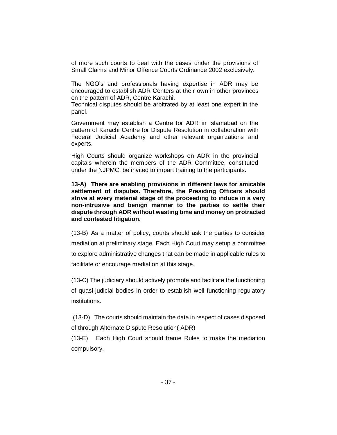of more such courts to deal with the cases under the provisions of Small Claims and Minor Offence Courts Ordinance 2002 exclusively.

The NGO's and professionals having expertise in ADR may be encouraged to establish ADR Centers at their own in other provinces on the pattern of ADR, Centre Karachi.

Technical disputes should be arbitrated by at least one expert in the panel.

Government may establish a Centre for ADR in Islamabad on the pattern of Karachi Centre for Dispute Resolution in collaboration with Federal Judicial Academy and other relevant organizations and experts.

High Courts should organize workshops on ADR in the provincial capitals wherein the members of the ADR Committee, constituted under the NJPMC, be invited to impart training to the participants*.* 

**13-A) There are enabling provisions in different laws for amicable settlement of disputes. Therefore, the Presiding Officers should strive at every material stage of the proceeding to induce in a very non-intrusive and benign manner to the parties to settle their dispute through ADR without wasting time and money on protracted and contested litigation.**

(13-B) As a matter of policy, courts should ask the parties to consider mediation at preliminary stage. Each High Court may setup a committee to explore administrative changes that can be made in applicable rules to facilitate or encourage mediation at this stage.

(13-C) The judiciary should actively promote and facilitate the functioning of quasi-judicial bodies in order to establish well functioning regulatory institutions.

(13-D) The courts should maintain the data in respect of cases disposed of through Alternate Dispute Resolution( ADR)

(13-E) Each High Court should frame Rules to make the mediation compulsory.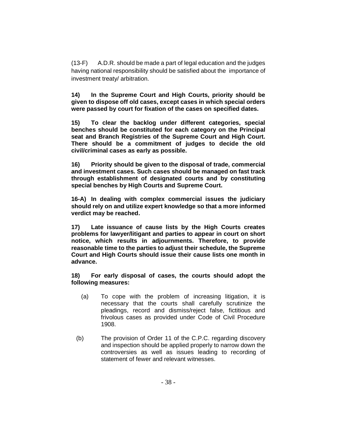(13-F) A.D.R. should be made a part of legal education and the judges having national responsibility should be satisfied about the importance of investment treaty/ arbitration.

**14) In the Supreme Court and High Courts, priority should be given to dispose off old cases, except cases in which special orders were passed by court for fixation of the cases on specified dates.**

**15) To clear the backlog under different categories, special benches should be constituted for each category on the Principal seat and Branch Registries of the Supreme Court and High Court. There should be a commitment of judges to decide the old civil/criminal cases as early as possible.**

**16) Priority should be given to the disposal of trade, commercial and investment cases. Such cases should be managed on fast track through establishment of designated courts and by constituting special benches by High Courts and Supreme Court.**

**16-A) In dealing with complex commercial issues the judiciary should rely on and utilize expert knowledge so that a more informed verdict may be reached.**

**17) Late issuance of cause lists by the High Courts creates problems for lawyer/litigant and parties to appear in court on short notice, which results in adjournments. Therefore, to provide reasonable time to the parties to adjust their schedule, the Supreme Court and High Courts should issue their cause lists one month in advance.**

**18) For early disposal of cases, the courts should adopt the following measures:**

- (a) To cope with the problem of increasing litigation, it is necessary that the courts shall carefully scrutinize the pleadings, record and dismiss/reject false, fictitious and frivolous cases as provided under Code of Civil Procedure 1908.
- (b) The provision of Order 11 of the C.P.C. regarding discovery and inspection should be applied properly to narrow down the controversies as well as issues leading to recording of statement of fewer and relevant witnesses.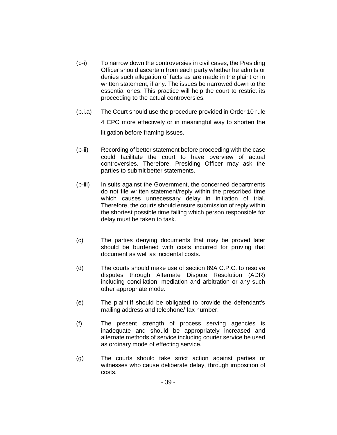- (b-i) To narrow down the controversies in civil cases, the Presiding Officer should ascertain from each party whether he admits or denies such allegation of facts as are made in the plaint or in written statement, if any. The issues be narrowed down to the essential ones. This practice will help the court to restrict its proceeding to the actual controversies.
- (b.i.a) The Court should use the procedure provided in Order 10 rule 4 CPC more effectively or in meaningful way to shorten the litigation before framing issues.
- (b-ii) Recording of better statement before proceeding with the case could facilitate the court to have overview of actual controversies. Therefore, Presiding Officer may ask the parties to submit better statements.
- (b-iii) In suits against the Government, the concerned departments do not file written statement/reply within the prescribed time which causes unnecessary delay in initiation of trial. Therefore, the courts should ensure submission of reply within the shortest possible time failing which person responsible for delay must be taken to task.
- (c) The parties denying documents that may be proved later should be burdened with costs incurred for proving that document as well as incidental costs.
- (d) The courts should make use of section 89A C.P.C. to resolve disputes through Alternate Dispute Resolution (ADR) including conciliation, mediation and arbitration or any such other appropriate mode.
- (e) The plaintiff should be obligated to provide the defendant's mailing address and telephone/ fax number.
- (f) The present strength of process serving agencies is inadequate and should be appropriately increased and alternate methods of service including courier service be used as ordinary mode of effecting service.
- (g) The courts should take strict action against parties or witnesses who cause deliberate delay, through imposition of costs.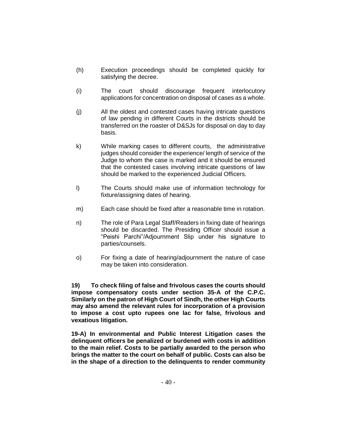- (h) Execution proceedings should be completed quickly for satisfying the decree.
- (i) The court should discourage frequent interlocutory applications for concentration on disposal of cases as a whole.
- (j) All the oldest and contested cases having intricate questions of law pending in different Courts in the districts should be transferred on the roaster of D&SJs for disposal on day to day basis.
- k) While marking cases to different courts, the administrative judges should consider the experience/ length of service of the Judge to whom the case is marked and it should be ensured that the contested cases involving intricate questions of law should be marked to the experienced Judicial Officers.
- l) The Courts should make use of information technology for fixture/assigning dates of hearing.
- m) Each case should be fixed after a reasonable time in rotation.
- n) The role of Para Legal Staff/Readers in fixing date of hearings should be discarded. The Presiding Officer should issue a "Peishi Parchi"/Adjournment Slip under his signature to parties/counsels.
- o) For fixing a date of hearing/adjournment the nature of case may be taken into consideration.

**19) To check filing of false and frivolous cases the courts should impose compensatory costs under section 35-A of the C.P.C. Similarly on the patron of High Court of Sindh, the other High Courts may also amend the relevant rules for incorporation of a provision to impose a cost upto rupees one lac for false, frivolous and vexatious litigation.**

**19-A) In environmental and Public Interest Litigation cases the delinquent officers be penalized or burdened with costs in addition to the main relief. Costs to be partially awarded to the person who brings the matter to the court on behalf of public. Costs can also be in the shape of a direction to the delinquents to render community**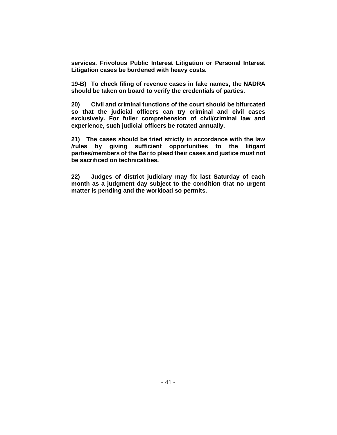**services. Frivolous Public Interest Litigation or Personal Interest Litigation cases be burdened with heavy costs.** 

**19-B) To check filing of revenue cases in fake names, the NADRA should be taken on board to verify the credentials of parties.** 

**20) Civil and criminal functions of the court should be bifurcated so that the judicial officers can try criminal and civil cases exclusively. For fuller comprehension of civil/criminal law and experience, such judicial officers be rotated annually.**

**21) The cases should be tried strictly in accordance with the law /rules by giving sufficient opportunities to the litigant parties/members of the Bar to plead their cases and justice must not be sacrificed on technicalities.**

**22) Judges of district judiciary may fix last Saturday of each month as a judgment day subject to the condition that no urgent matter is pending and the workload so permits.**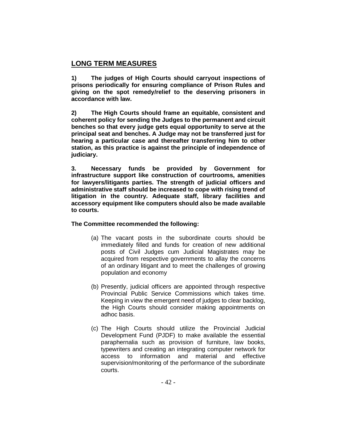# **LONG TERM MEASURES**

**1) The judges of High Courts should carryout inspections of prisons periodically for ensuring compliance of Prison Rules and giving on the spot remedy/relief to the deserving prisoners in accordance with law.**

**2) The High Courts should frame an equitable, consistent and coherent policy for sending the Judges to the permanent and circuit benches so that every judge gets equal opportunity to serve at the principal seat and benches. A Judge may not be transferred just for hearing a particular case and thereafter transferring him to other station, as this practice is against the principle of independence of judiciary.**

**3. Necessary funds be provided by Government for infrastructure support like construction of courtrooms, amenities for lawyers/litigants parties. The strength of judicial officers and administrative staff should be increased to cope with rising trend of litigation in the country. Adequate staff, library facilities and accessory equipment like computers should also be made available to courts.**

#### **The Committee recommended the following:**

- (a) The vacant posts in the subordinate courts should be immediately filled and funds for creation of new additional posts of Civil Judges cum Judicial Magistrates may be acquired from respective governments to allay the concerns of an ordinary litigant and to meet the challenges of growing population and economy
- (b) Presently, judicial officers are appointed through respective Provincial Public Service Commissions which takes time. Keeping in view the emergent need of judges to clear backlog, the High Courts should consider making appointments on adhoc basis.
- (c) The High Courts should utilize the Provincial Judicial Development Fund (PJDF) to make available the essential paraphernalia such as provision of furniture, law books, typewriters and creating an integrating computer network for access to information and material and effective supervision/monitoring of the performance of the subordinate courts.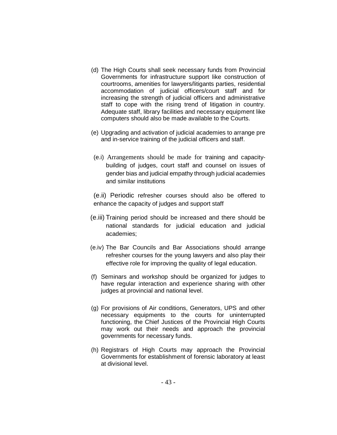- (d) The High Courts shall seek necessary funds from Provincial Governments for infrastructure support like construction of courtrooms, amenities for lawyers/litigants parties, residential accommodation of judicial officers/court staff and for increasing the strength of judicial officers and administrative staff to cope with the rising trend of litigation in country. Adequate staff, library facilities and necessary equipment like computers should also be made available to the Courts.
- (e) Upgrading and activation of judicial academies to arrange pre and in-service training of the judicial officers and staff.
- (e.i) Arrangements should be made for training and capacitybuilding of judges, court staff and counsel on issues of gender bias and judicial empathy through judicial academies and similar institutions

(e.ii) Periodic refresher courses should also be offered to enhance the capacity of judges and support staff

- (e.iii) Training period should be increased and there should be national standards for judicial education and judicial academies;
- (e.iv) The Bar Councils and Bar Associations should arrange refresher courses for the young lawyers and also play their effective role for improving the quality of legal education.
- (f) Seminars and workshop should be organized for judges to have regular interaction and experience sharing with other judges at provincial and national level.
- (g) For provisions of Air conditions, Generators, UPS and other necessary equipments to the courts for uninterrupted functioning, the Chief Justices of the Provincial High Courts may work out their needs and approach the provincial governments for necessary funds.
- (h) Registrars of High Courts may approach the Provincial Governments for establishment of forensic laboratory at least at divisional level.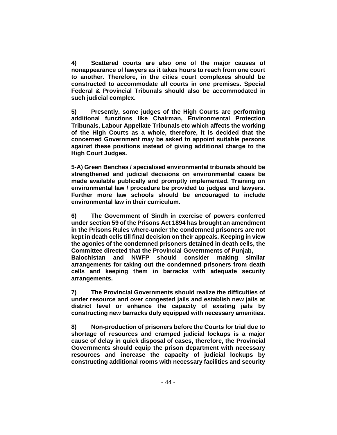**4) Scattered courts are also one of the major causes of nonappearance of lawyers as it takes hours to reach from one court to another. Therefore, in the cities court complexes should be constructed to accommodate all courts in one premises. Special Federal & Provincial Tribunals should also be accommodated in such judicial complex.**

**5) Presently, some judges of the High Courts are performing additional functions like Chairman, Environmental Protection Tribunals, Labour Appellate Tribunals etc which affects the working of the High Courts as a whole, therefore, it is decided that the concerned Government may be asked to appoint suitable persons against these positions instead of giving additional charge to the High Court Judges.**

**5-A) Green Benches / specialised environmental tribunals should be strengthened and judicial decisions on environmental cases be made available publically and promptly implemented. Training on environmental law / procedure be provided to judges and lawyers. Further more law schools should be encouraged to include environmental law in their curriculum.**

**6) The Government of Sindh in exercise of powers conferred under section 59 of the Prisons Act 1894 has brought an amendment in the Prisons Rules where-under the condemned prisoners are not kept in death cells till final decision on their appeals. Keeping in view the agonies of the condemned prisoners detained in death cells, the Committee directed that the Provincial Governments of Punjab, Balochistan and NWFP should consider making similar arrangements for taking out the condemned prisoners from death cells and keeping them in barracks with adequate security arrangements.**

**7) The Provincial Governments should realize the difficulties of under resource and over congested jails and establish new jails at district level or enhance the capacity of existing jails by constructing new barracks duly equipped with necessary amenities.**

**8) Non-production of prisoners before the Courts for trial due to shortage of resources and cramped judicial lockups is a major cause of delay in quick disposal of cases, therefore, the Provincial Governments should equip the prison department with necessary resources and increase the capacity of judicial lockups by constructing additional rooms with necessary facilities and security**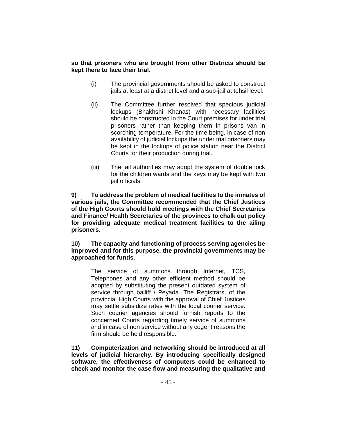#### **so that prisoners who are brought from other Districts should be kept there to face their trial.**

- (i) The provincial governments should be asked to construct jails at least at a district level and a sub-jail at tehsil level.
- (ii) The Committee further resolved that specious judicial lockups (Bhakhshi Khanas) with necessary facilities should be constructed in the Court premises for under trial prisoners rather than keeping them in prisons van in scorching temperature. For the time being, in case of non availability of judicial lockups the under trial prisoners may be kept in the lockups of police station near the District Courts for their production during trial.
- (iii) The jail authorities may adopt the system of double lock for the children wards and the keys may be kept with two jail officials.

**9) To address the problem of medical facilities to the inmates of various jails, the Committee recommended that the Chief Justices of the High Courts should hold meetings with the Chief Secretaries and Finance/ Health Secretaries of the provinces to chalk out policy for providing adequate medical treatment facilities to the ailing prisoners.**

**10) The capacity and functioning of process serving agencies be improved and for this purpose, the provincial governments may be approached for funds.**

The service of summons through Internet, TCS, Telephones and any other efficient method should be adopted by substituting the present outdated system of service through bailiff / Peyada. The Registrars, of the provincial High Courts with the approval of Chief Justices may settle subsidize rates with the local courier service. Such courier agencies should furnish reports to the concerned Courts regarding timely service of summons and in case of non service without any cogent reasons the firm should be held responsible.

**11) Computerization and networking should be introduced at all levels of judicial hierarchy. By introducing specifically designed software, the effectiveness of computers could be enhanced to check and monitor the case flow and measuring the qualitative and**